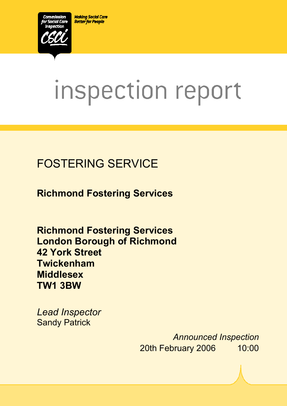**Making Social Care Better for People** 



# inspection report

# FOSTERING SERVICE

**Richmond Fostering Services** 

**Richmond Fostering Services London Borough of Richmond 42 York Street Twickenham Middlesex TW1 3BW** 

 $X_1$ 10029.doc Version 1.40 Page 1.40 Page 1.40 Page 1.40 Page 1.40 Page 1.40 Page 1.40 Page 1.40 Page 1.40 Page 1.40 Page 1.40 Page 1.40 Page 1.40 Page 1.40 Page 1.40 Page 1.40 Page 1.40 Page 1.40 Page 1.40 Page 1.40 Pag

*Lead Inspector*  **Sandy Patrick** 

> *Announced Inspection* 20th February 2006 10:00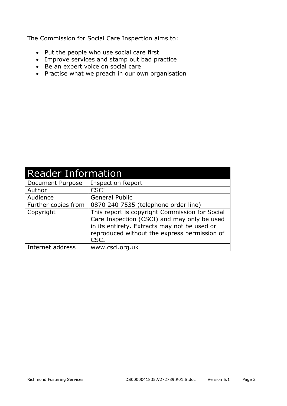The Commission for Social Care Inspection aims to:

- Put the people who use social care first
- Improve services and stamp out bad practice
- Be an expert voice on social care
- Practise what we preach in our own organisation

| <b>Reader Information</b> |                                                                                                                                                                                                              |  |  |
|---------------------------|--------------------------------------------------------------------------------------------------------------------------------------------------------------------------------------------------------------|--|--|
| Document Purpose          | <b>Inspection Report</b>                                                                                                                                                                                     |  |  |
| Author                    | <b>CSCI</b>                                                                                                                                                                                                  |  |  |
| Audience                  | <b>General Public</b>                                                                                                                                                                                        |  |  |
| Further copies from       | 0870 240 7535 (telephone order line)                                                                                                                                                                         |  |  |
| Copyright                 | This report is copyright Commission for Social<br>Care Inspection (CSCI) and may only be used<br>in its entirety. Extracts may not be used or<br>reproduced without the express permission of<br><b>CSCI</b> |  |  |
| Internet address          | www.csci.org.uk                                                                                                                                                                                              |  |  |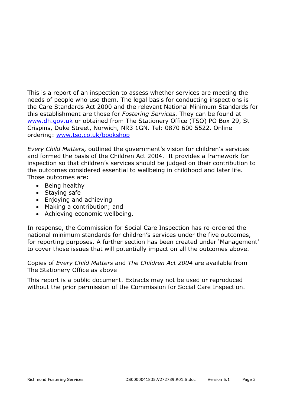This is a report of an inspection to assess whether services are meeting the needs of people who use them. The legal basis for conducting inspections is the Care Standards Act 2000 and the relevant National Minimum Standards for this establishment are those for *Fostering Services.* They can be found at www.dh.gov.uk or obtained from The Stationery Office (TSO) PO Box 29, St Crispins, Duke Street, Norwich, NR3 1GN. Tel: 0870 600 5522. Online ordering: www.tso.co.uk/bookshop

*Every Child Matters,* outlined the government's vision for children's services and formed the basis of the Children Act 2004. It provides a framework for inspection so that children's services should be judged on their contribution to the outcomes considered essential to wellbeing in childhood and later life. Those outcomes are:

- Being healthy
- Staying safe
- Enjoying and achieving
- Making a contribution; and
- Achieving economic wellbeing.

In response, the Commission for Social Care Inspection has re-ordered the national minimum standards for children's services under the five outcomes, for reporting purposes. A further section has been created under 'Management' to cover those issues that will potentially impact on all the outcomes above.

Copies of *Every Child Matters* and *The Children Act 2004* are available from The Stationery Office as above

This report is a public document. Extracts may not be used or reproduced without the prior permission of the Commission for Social Care Inspection.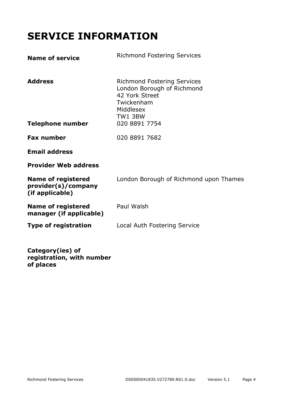# **SERVICE INFORMATION**

| <b>Name of service</b>                                              | <b>Richmond Fostering Services</b>                                                                                                        |
|---------------------------------------------------------------------|-------------------------------------------------------------------------------------------------------------------------------------------|
| <b>Address</b><br><b>Telephone number</b>                           | <b>Richmond Fostering Services</b><br>London Borough of Richmond<br>42 York Street<br>Twickenham<br>Middlesex<br>TW1 3BW<br>020 8891 7754 |
| <b>Fax number</b>                                                   | 020 8891 7682                                                                                                                             |
| <b>Email address</b>                                                |                                                                                                                                           |
| <b>Provider Web address</b>                                         |                                                                                                                                           |
| <b>Name of registered</b><br>provider(s)/company<br>(if applicable) | London Borough of Richmond upon Thames                                                                                                    |
| <b>Name of registered</b><br>manager (if applicable)                | Paul Walsh                                                                                                                                |
| Type of registration                                                | Local Auth Fostering Service                                                                                                              |
|                                                                     |                                                                                                                                           |

**Category(ies) of registration, with number of places**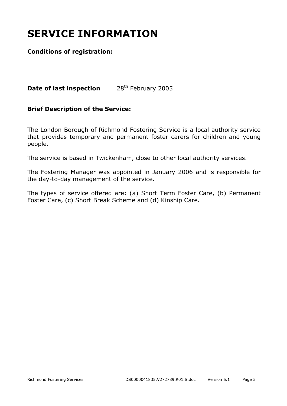# **SERVICE INFORMATION**

#### **Conditions of registration:**

**Date of last inspection** 28<sup>th</sup> February 2005

#### **Brief Description of the Service:**

The London Borough of Richmond Fostering Service is a local authority service that provides temporary and permanent foster carers for children and young people.

The service is based in Twickenham, close to other local authority services.

The Fostering Manager was appointed in January 2006 and is responsible for the day-to-day management of the service.

The types of service offered are: (a) Short Term Foster Care, (b) Permanent Foster Care, (c) Short Break Scheme and (d) Kinship Care.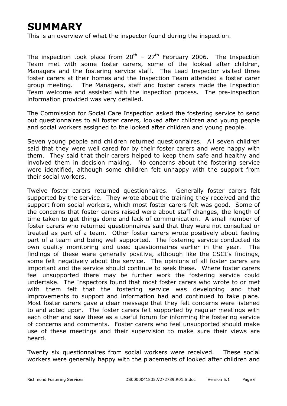# **SUMMARY**

This is an overview of what the inspector found during the inspection.

The inspection took place from  $20^{th}$  –  $27^{th}$  February 2006. The Inspection Team met with some foster carers, some of the looked after children, Managers and the fostering service staff. The Lead Inspector visited three foster carers at their homes and the Inspection Team attended a foster carer group meeting. The Managers, staff and foster carers made the Inspection Team welcome and assisted with the inspection process. The pre-inspection information provided was very detailed.

The Commission for Social Care Inspection asked the fostering service to send out questionnaires to all foster carers, looked after children and young people and social workers assigned to the looked after children and young people.

Seven young people and children returned questionnaires. All seven children said that they were well cared for by their foster carers and were happy with them. They said that their carers helped to keep them safe and healthy and involved them in decision making. No concerns about the fostering service were identified, although some children felt unhappy with the support from their social workers.

Twelve foster carers returned questionnaires. Generally foster carers felt supported by the service. They wrote about the training they received and the support from social workers, which most foster carers felt was good. Some of the concerns that foster carers raised were about staff changes, the length of time taken to get things done and lack of communication. A small number of foster carers who returned questionnaires said that they were not consulted or treated as part of a team. Other foster carers wrote positively about feeling part of a team and being well supported. The fostering service conducted its own quality monitoring and used questionnaires earlier in the year. The findings of these were generally positive, although like the CSCI's findings, some felt negatively about the service. The opinions of all foster carers are important and the service should continue to seek these. Where foster carers feel unsupported there may be further work the fostering service could undertake. The Inspectors found that most foster carers who wrote to or met with them felt that the fostering service was developing and that improvements to support and information had and continued to take place. Most foster carers gave a clear message that they felt concerns were listened to and acted upon. The foster carers felt supported by regular meetings with each other and saw these as a useful forum for informing the fostering service of concerns and comments. Foster carers who feel unsupported should make use of these meetings and their supervision to make sure their views are heard.

Twenty six questionnaires from social workers were received. These social workers were generally happy with the placements of looked after children and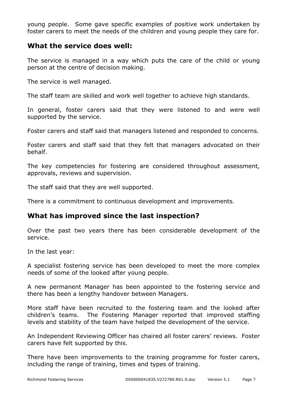young people. Some gave specific examples of positive work undertaken by foster carers to meet the needs of the children and young people they care for.

#### **What the service does well:**

The service is managed in a way which puts the care of the child or young person at the centre of decision making.

The service is well managed.

The staff team are skilled and work well together to achieve high standards.

In general, foster carers said that they were listened to and were well supported by the service.

Foster carers and staff said that managers listened and responded to concerns.

Foster carers and staff said that they felt that managers advocated on their behalf.

The key competencies for fostering are considered throughout assessment, approvals, reviews and supervision.

The staff said that they are well supported.

There is a commitment to continuous development and improvements.

#### **What has improved since the last inspection?**

Over the past two years there has been considerable development of the service.

In the last year:

A specialist fostering service has been developed to meet the more complex needs of some of the looked after young people.

A new permanent Manager has been appointed to the fostering service and there has been a lengthy handover between Managers.

More staff have been recruited to the fostering team and the looked after children's teams. The Fostering Manager reported that improved staffing levels and stability of the team have helped the development of the service.

An Independent Reviewing Officer has chaired all foster carers' reviews. Foster carers have felt supported by this.

There have been improvements to the training programme for foster carers, including the range of training, times and types of training.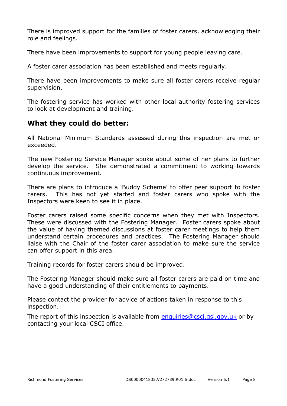There is improved support for the families of foster carers, acknowledging their role and feelings.

There have been improvements to support for young people leaving care.

A foster carer association has been established and meets regularly.

There have been improvements to make sure all foster carers receive regular supervision.

The fostering service has worked with other local authority fostering services to look at development and training.

#### **What they could do better:**

All National Minimum Standards assessed during this inspection are met or exceeded.

The new Fostering Service Manager spoke about some of her plans to further develop the service. She demonstrated a commitment to working towards continuous improvement.

There are plans to introduce a 'Buddy Scheme' to offer peer support to foster carers. This has not yet started and foster carers who spoke with the Inspectors were keen to see it in place.

Foster carers raised some specific concerns when they met with Inspectors. These were discussed with the Fostering Manager. Foster carers spoke about the value of having themed discussions at foster carer meetings to help them understand certain procedures and practices. The Fostering Manager should liaise with the Chair of the foster carer association to make sure the service can offer support in this area.

Training records for foster carers should be improved.

The Fostering Manager should make sure all foster carers are paid on time and have a good understanding of their entitlements to payments.

Please contact the provider for advice of actions taken in response to this inspection.

The report of this inspection is available from enquiries@csci.gsi.gov.uk or by contacting your local CSCI office.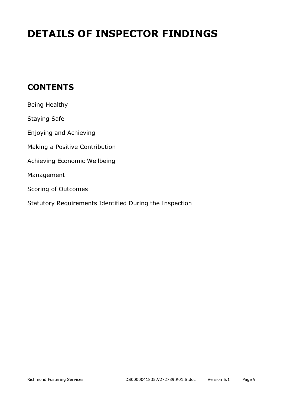# **DETAILS OF INSPECTOR FINDINGS**

## **CONTENTS**

| Being Healthy                                           |
|---------------------------------------------------------|
| <b>Staying Safe</b>                                     |
| Enjoying and Achieving                                  |
| Making a Positive Contribution                          |
| Achieving Economic Wellbeing                            |
| Management                                              |
| Scoring of Outcomes                                     |
| Statutory Requirements Identified During the Inspection |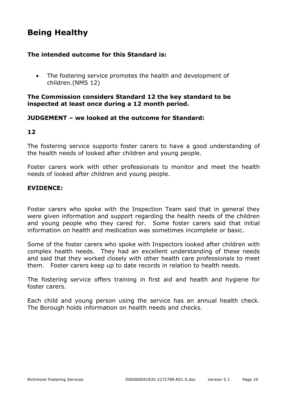## **Being Healthy**

#### **The intended outcome for this Standard is:**

• The fostering service promotes the health and development of children.(NMS 12)

#### **The Commission considers Standard 12 the key standard to be inspected at least once during a 12 month period.**

#### **JUDGEMENT – we looked at the outcome for Standard:**

#### **12**

The fostering service supports foster carers to have a good understanding of the health needs of looked after children and young people.

Foster carers work with other professionals to monitor and meet the health needs of looked after children and young people.

#### **EVIDENCE:**

Foster carers who spoke with the Inspection Team said that in general they were given information and support regarding the health needs of the children and young people who they cared for. Some foster carers said that initial information on health and medication was sometimes incomplete or basic.

Some of the foster carers who spoke with Inspectors looked after children with complex health needs. They had an excellent understanding of these needs and said that they worked closely with other health care professionals to meet them. Foster carers keep up to date records in relation to health needs.

The fostering service offers training in first aid and health and hygiene for foster carers.

Each child and young person using the service has an annual health check. The Borough holds information on health needs and checks.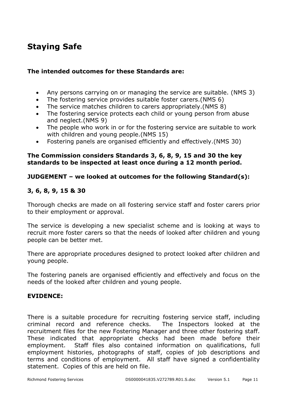## **Staying Safe**

#### **The intended outcomes for these Standards are:**

- Any persons carrying on or managing the service are suitable. (NMS 3)
- The fostering service provides suitable foster carers.(NMS 6)
- The service matches children to carers appropriately.(NMS 8)
- The fostering service protects each child or young person from abuse and neglect.(NMS 9)
- The people who work in or for the fostering service are suitable to work with children and young people.(NMS 15)
- Fostering panels are organised efficiently and effectively.(NMS 30)

#### **The Commission considers Standards 3, 6, 8, 9, 15 and 30 the key standards to be inspected at least once during a 12 month period.**

#### **JUDGEMENT – we looked at outcomes for the following Standard(s):**

#### **3, 6, 8, 9, 15 & 30**

Thorough checks are made on all fostering service staff and foster carers prior to their employment or approval.

The service is developing a new specialist scheme and is looking at ways to recruit more foster carers so that the needs of looked after children and young people can be better met.

There are appropriate procedures designed to protect looked after children and young people.

The fostering panels are organised efficiently and effectively and focus on the needs of the looked after children and young people.

#### **EVIDENCE:**

There is a suitable procedure for recruiting fostering service staff, including criminal record and reference checks. The Inspectors looked at the recruitment files for the new Fostering Manager and three other fostering staff. These indicated that appropriate checks had been made before their employment. Staff files also contained information on qualifications, full employment histories, photographs of staff, copies of job descriptions and terms and conditions of employment. All staff have signed a confidentiality statement. Copies of this are held on file.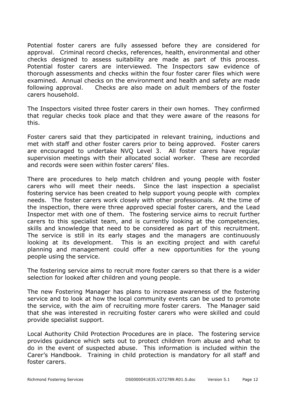Potential foster carers are fully assessed before they are considered for approval. Criminal record checks, references, health, environmental and other checks designed to assess suitability are made as part of this process. Potential foster carers are interviewed. The Inspectors saw evidence of thorough assessments and checks within the four foster carer files which were examined. Annual checks on the environment and health and safety are made following approval. Checks are also made on adult members of the foster carers household.

The Inspectors visited three foster carers in their own homes. They confirmed that regular checks took place and that they were aware of the reasons for this.

Foster carers said that they participated in relevant training, inductions and met with staff and other foster carers prior to being approved. Foster carers are encouraged to undertake NVQ Level 3. All foster carers have regular supervision meetings with their allocated social worker. These are recorded and records were seen within foster carers' files.

There are procedures to help match children and young people with foster carers who will meet their needs. Since the last inspection a specialist fostering service has been created to help support young people with complex needs. The foster carers work closely with other professionals. At the time of the inspection, there were three approved special foster carers, and the Lead Inspector met with one of them. The fostering service aims to recruit further carers to this specialist team, and is currently looking at the competencies, skills and knowledge that need to be considered as part of this recruitment. The service is still in its early stages and the managers are continuously looking at its development. This is an exciting project and with careful planning and management could offer a new opportunities for the young people using the service.

The fostering service aims to recruit more foster carers so that there is a wider selection for looked after children and young people.

The new Fostering Manager has plans to increase awareness of the fostering service and to look at how the local community events can be used to promote the service, with the aim of recruiting more foster carers. The Manager said that she was interested in recruiting foster carers who were skilled and could provide specialist support.

Local Authority Child Protection Procedures are in place. The fostering service provides guidance which sets out to protect children from abuse and what to do in the event of suspected abuse. This information is included within the Carer's Handbook. Training in child protection is mandatory for all staff and foster carers.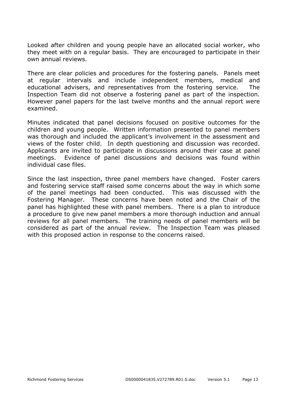Looked after children and young people have an allocated social worker, who they meet with on a regular basis. They are encouraged to participate in their own annual reviews.

There are clear policies and procedures for the fostering panels. Panels meet at regular intervals and include independent members, medical and educational advisers, and representatives from the fostering service. The Inspection Team did not observe a fostering panel as part of the inspection. However panel papers for the last twelve months and the annual report were examined.

Minutes indicated that panel decisions focused on positive outcomes for the children and young people. Written information presented to panel members was thorough and included the applicant's involvement in the assessment and views of the foster child. In depth questioning and discussion was recorded. Applicants are invited to participate in discussions around their case at panel meetings. Evidence of panel discussions and decisions was found within individual case files.

Since the last inspection, three panel members have changed. Foster carers and fostering service staff raised some concerns about the way in which some of the panel meetings had been conducted. This was discussed with the Fostering Manager. These concerns have been noted and the Chair of the panel has highlighted these with panel members. There is a plan to introduce a procedure to give new panel members a more thorough induction and annual reviews for all panel members. The training needs of panel members will be considered as part of the annual review. The Inspection Team was pleased with this proposed action in response to the concerns raised.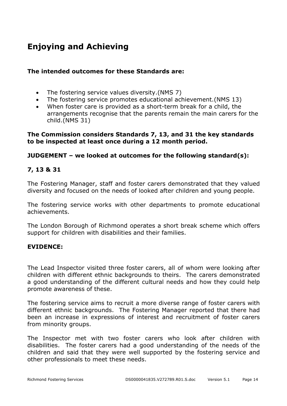## **Enjoying and Achieving**

#### **The intended outcomes for these Standards are:**

- The fostering service values diversity.(NMS 7)
- The fostering service promotes educational achievement.(NMS 13)
- When foster care is provided as a short-term break for a child, the arrangements recognise that the parents remain the main carers for the child.(NMS 31)

#### **The Commission considers Standards 7, 13, and 31 the key standards to be inspected at least once during a 12 month period.**

#### **JUDGEMENT – we looked at outcomes for the following standard(s):**

#### **7, 13 & 31**

The Fostering Manager, staff and foster carers demonstrated that they valued diversity and focused on the needs of looked after children and young people.

The fostering service works with other departments to promote educational achievements.

The London Borough of Richmond operates a short break scheme which offers support for children with disabilities and their families.

#### **EVIDENCE:**

The Lead Inspector visited three foster carers, all of whom were looking after children with different ethnic backgrounds to theirs. The carers demonstrated a good understanding of the different cultural needs and how they could help promote awareness of these.

The fostering service aims to recruit a more diverse range of foster carers with different ethnic backgrounds. The Fostering Manager reported that there had been an increase in expressions of interest and recruitment of foster carers from minority groups.

The Inspector met with two foster carers who look after children with disabilities. The foster carers had a good understanding of the needs of the children and said that they were well supported by the fostering service and other professionals to meet these needs.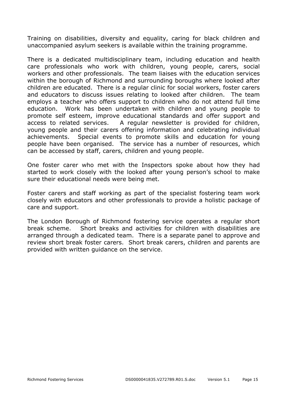Training on disabilities, diversity and equality, caring for black children and unaccompanied asylum seekers is available within the training programme.

There is a dedicated multidisciplinary team, including education and health care professionals who work with children, young people, carers, social workers and other professionals. The team liaises with the education services within the borough of Richmond and surrounding boroughs where looked after children are educated. There is a regular clinic for social workers, foster carers and educators to discuss issues relating to looked after children. The team employs a teacher who offers support to children who do not attend full time education. Work has been undertaken with children and young people to promote self esteem, improve educational standards and offer support and access to related services. A regular newsletter is provided for children, young people and their carers offering information and celebrating individual achievements. Special events to promote skills and education for young people have been organised. The service has a number of resources, which can be accessed by staff, carers, children and young people.

One foster carer who met with the Inspectors spoke about how they had started to work closely with the looked after young person's school to make sure their educational needs were being met.

Foster carers and staff working as part of the specialist fostering team work closely with educators and other professionals to provide a holistic package of care and support.

The London Borough of Richmond fostering service operates a regular short break scheme. Short breaks and activities for children with disabilities are arranged through a dedicated team. There is a separate panel to approve and review short break foster carers. Short break carers, children and parents are provided with written guidance on the service.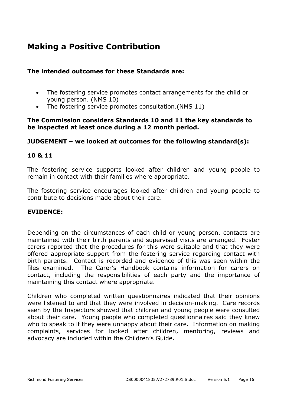## **Making a Positive Contribution**

#### **The intended outcomes for these Standards are:**

- The fostering service promotes contact arrangements for the child or young person. (NMS 10)
- The fostering service promotes consultation.(NMS 11)

#### **The Commission considers Standards 10 and 11 the key standards to be inspected at least once during a 12 month period.**

#### **JUDGEMENT – we looked at outcomes for the following standard(s):**

#### **10 & 11**

The fostering service supports looked after children and young people to remain in contact with their families where appropriate.

The fostering service encourages looked after children and young people to contribute to decisions made about their care.

#### **EVIDENCE:**

Depending on the circumstances of each child or young person, contacts are maintained with their birth parents and supervised visits are arranged. Foster carers reported that the procedures for this were suitable and that they were offered appropriate support from the fostering service regarding contact with birth parents. Contact is recorded and evidence of this was seen within the files examined. The Carer's Handbook contains information for carers on contact, including the responsibilities of each party and the importance of maintaining this contact where appropriate.

Children who completed written questionnaires indicated that their opinions were listened to and that they were involved in decision-making. Care records seen by the Inspectors showed that children and young people were consulted about their care. Young people who completed questionnaires said they knew who to speak to if they were unhappy about their care. Information on making complaints, services for looked after children, mentoring, reviews and advocacy are included within the Children's Guide.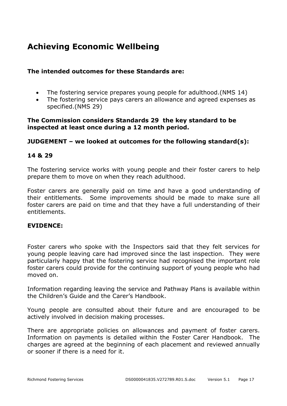## **Achieving Economic Wellbeing**

#### **The intended outcomes for these Standards are:**

- The fostering service prepares young people for adulthood.(NMS 14)
- The fostering service pays carers an allowance and agreed expenses as specified.(NMS 29)

#### **The Commission considers Standards 29 the key standard to be inspected at least once during a 12 month period.**

#### **JUDGEMENT – we looked at outcomes for the following standard(s):**

#### **14 & 29**

The fostering service works with young people and their foster carers to help prepare them to move on when they reach adulthood.

Foster carers are generally paid on time and have a good understanding of their entitlements. Some improvements should be made to make sure all foster carers are paid on time and that they have a full understanding of their entitlements.

#### **EVIDENCE:**

Foster carers who spoke with the Inspectors said that they felt services for young people leaving care had improved since the last inspection. They were particularly happy that the fostering service had recognised the important role foster carers could provide for the continuing support of young people who had moved on.

Information regarding leaving the service and Pathway Plans is available within the Children's Guide and the Carer's Handbook.

Young people are consulted about their future and are encouraged to be actively involved in decision making processes.

There are appropriate policies on allowances and payment of foster carers. Information on payments is detailed within the Foster Carer Handbook. The charges are agreed at the beginning of each placement and reviewed annually or sooner if there is a need for it.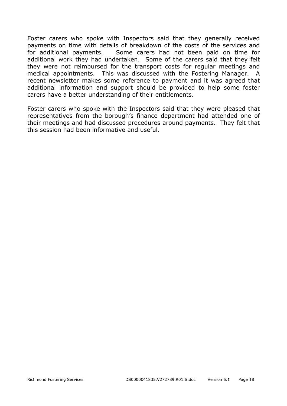Foster carers who spoke with Inspectors said that they generally received payments on time with details of breakdown of the costs of the services and for additional payments. Some carers had not been paid on time for additional work they had undertaken. Some of the carers said that they felt they were not reimbursed for the transport costs for regular meetings and medical appointments. This was discussed with the Fostering Manager. A recent newsletter makes some reference to payment and it was agreed that additional information and support should be provided to help some foster carers have a better understanding of their entitlements.

Foster carers who spoke with the Inspectors said that they were pleased that representatives from the borough's finance department had attended one of their meetings and had discussed procedures around payments. They felt that this session had been informative and useful.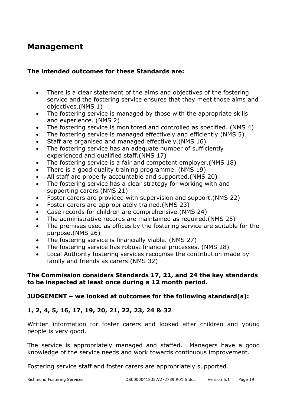### **Management**

#### **The intended outcomes for these Standards are:**

- There is a clear statement of the aims and objectives of the fostering service and the fostering service ensures that they meet those aims and objectives.(NMS 1)
- The fostering service is managed by those with the appropriate skills and experience. (NMS 2)
- The fostering service is monitored and controlled as specified. (NMS 4)
- The fostering service is managed effectively and efficiently.(NMS 5)
- Staff are organised and managed effectively.(NMS 16)
- The fostering service has an adequate number of sufficiently experienced and qualified staff.(NMS 17)
- The fostering service is a fair and competent employer.(NMS 18)
- There is a good quality training programme. (NMS 19)
- All staff are properly accountable and supported.(NMS 20)
- The fostering service has a clear strategy for working with and supporting carers.(NMS 21)
- Foster carers are provided with supervision and support.(NMS 22)
- Foster carers are appropriately trained.(NMS 23)
- Case records for children are comprehensive.(NMS 24)
- The administrative records are maintained as required.(NMS 25)
- The premises used as offices by the fostering service are suitable for the purpose.(NMS 26)
- The fostering service is financially viable. (NMS 27)
- The fostering service has robust financial processes. (NMS 28)
- Local Authority fostering services recognise the contribution made by family and friends as carers.(NMS 32)

#### **The Commission considers Standards 17, 21, and 24 the key standards to be inspected at least once during a 12 month period.**

#### **JUDGEMENT – we looked at outcomes for the following standard(s):**

#### **1, 2, 4, 5, 16, 17, 19, 20, 21, 22, 23, 24 & 32**

Written information for foster carers and looked after children and young people is very good.

The service is appropriately managed and staffed. Managers have a good knowledge of the service needs and work towards continuous improvement.

Fostering service staff and foster carers are appropriately supported.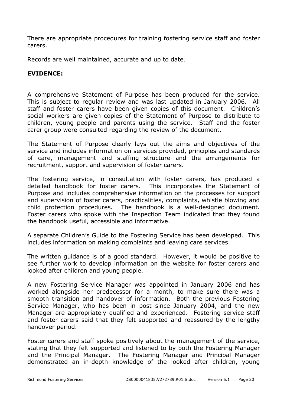There are appropriate procedures for training fostering service staff and foster carers.

Records are well maintained, accurate and up to date.

#### **EVIDENCE:**

A comprehensive Statement of Purpose has been produced for the service. This is subject to regular review and was last updated in January 2006. All staff and foster carers have been given copies of this document. Children's social workers are given copies of the Statement of Purpose to distribute to children, young people and parents using the service. Staff and the foster carer group were consulted regarding the review of the document.

The Statement of Purpose clearly lays out the aims and objectives of the service and includes information on services provided, principles and standards of care, management and staffing structure and the arrangements for recruitment, support and supervision of foster carers.

The fostering service, in consultation with foster carers, has produced a detailed handbook for foster carers. This incorporates the Statement of Purpose and includes comprehensive information on the processes for support and supervision of foster carers, practicalities, complaints, whistle blowing and child protection procedures. The handbook is a well-designed document. Foster carers who spoke with the Inspection Team indicated that they found the handbook useful, accessible and informative.

A separate Children's Guide to the Fostering Service has been developed. This includes information on making complaints and leaving care services.

The written guidance is of a good standard. However, it would be positive to see further work to develop information on the website for foster carers and looked after children and young people.

A new Fostering Service Manager was appointed in January 2006 and has worked alongside her predecessor for a month, to make sure there was a smooth transition and handover of information. Both the previous Fostering Service Manager, who has been in post since January 2004, and the new Manager are appropriately qualified and experienced. Fostering service staff and foster carers said that they felt supported and reassured by the lengthy handover period.

Foster carers and staff spoke positively about the management of the service, stating that they felt supported and listened to by both the Fostering Manager and the Principal Manager. The Fostering Manager and Principal Manager demonstrated an in-depth knowledge of the looked after children, young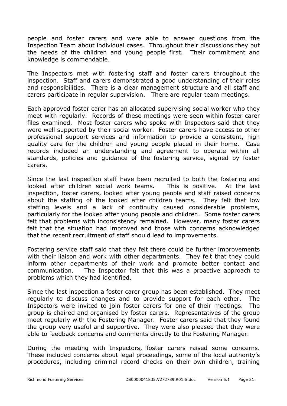people and foster carers and were able to answer questions from the Inspection Team about individual cases. Throughout their discussions they put the needs of the children and young people first. Their commitment and knowledge is commendable.

The Inspectors met with fostering staff and foster carers throughout the inspection. Staff and carers demonstrated a good understanding of their roles and responsibilities. There is a clear management structure and all staff and carers participate in regular supervision. There are regular team meetings.

Each approved foster carer has an allocated supervising social worker who they meet with regularly. Records of these meetings were seen within foster carer files examined. Most foster carers who spoke with Inspectors said that they were well supported by their social worker. Foster carers have access to other professional support services and information to provide a consistent, high quality care for the children and young people placed in their home. Case records included an understanding and agreement to operate within all standards, policies and guidance of the fostering service, signed by foster carers.

Since the last inspection staff have been recruited to both the fostering and looked after children social work teams. This is positive. At the last inspection, foster carers, looked after young people and staff raised concerns about the staffing of the looked after children teams. They felt that low staffing levels and a lack of continuity caused considerable problems, particularly for the looked after young people and children. Some foster carers felt that problems with inconsistency remained. However, many foster carers felt that the situation had improved and those with concerns acknowledged that the recent recruitment of staff should lead to improvements.

Fostering service staff said that they felt there could be further improvements with their liaison and work with other departments. They felt that they could inform other departments of their work and promote better contact and communication. The Inspector felt that this was a proactive approach to problems which they had identified.

Since the last inspection a foster carer group has been established. They meet regularly to discuss changes and to provide support for each other. The Inspectors were invited to join foster carers for one of their meetings. The group is chaired and organised by foster carers. Representatives of the group meet regularly with the Fostering Manager. Foster carers said that they found the group very useful and supportive. They were also pleased that they were able to feedback concerns and comments directly to the Fostering Manager.

During the meeting with Inspectors, foster carers raised some concerns. These included concerns about legal proceedings, some of the local authority's procedures, including criminal record checks on their own children, training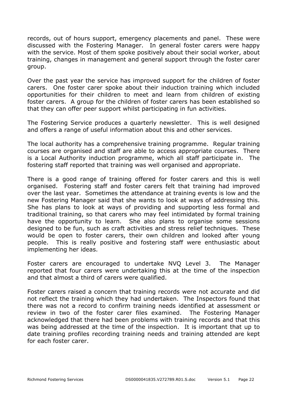records, out of hours support, emergency placements and panel. These were discussed with the Fostering Manager. In general foster carers were happy with the service. Most of them spoke positively about their social worker, about training, changes in management and general support through the foster carer group.

Over the past year the service has improved support for the children of foster carers. One foster carer spoke about their induction training which included opportunities for their children to meet and learn from children of existing foster carers. A group for the children of foster carers has been established so that they can offer peer support whilst participating in fun activities.

The Fostering Service produces a quarterly newsletter. This is well designed and offers a range of useful information about this and other services.

The local authority has a comprehensive training programme. Regular training courses are organised and staff are able to access appropriate courses. There is a Local Authority induction programme, which all staff participate in. The fostering staff reported that training was well organised and appropriate.

There is a good range of training offered for foster carers and this is well organised. Fostering staff and foster carers felt that training had improved over the last year. Sometimes the attendance at training events is low and the new Fostering Manager said that she wants to look at ways of addressing this. She has plans to look at ways of providing and supporting less formal and traditional training, so that carers who may feel intimidated by formal training have the opportunity to learn. She also plans to organise some sessions designed to be fun, such as craft activities and stress relief techniques. These would be open to foster carers, their own children and looked after young people. This is really positive and fostering staff were enthusiastic about implementing her ideas.

Foster carers are encouraged to undertake NVQ Level 3. The Manager reported that four carers were undertaking this at the time of the inspection and that almost a third of carers were qualified.

Foster carers raised a concern that training records were not accurate and did not reflect the training which they had undertaken. The Inspectors found that there was not a record to confirm training needs identified at assessment or review in two of the foster carer files examined. The Fostering Manager acknowledged that there had been problems with training records and that this was being addressed at the time of the inspection. It is important that up to date training profiles recording training needs and training attended are kept for each foster carer.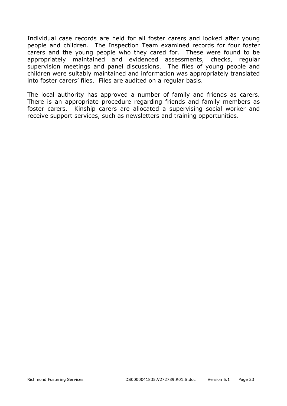Individual case records are held for all foster carers and looked after young people and children. The Inspection Team examined records for four foster carers and the young people who they cared for. These were found to be appropriately maintained and evidenced assessments, checks, regular supervision meetings and panel discussions. The files of young people and children were suitably maintained and information was appropriately translated into foster carers' files. Files are audited on a regular basis.

The local authority has approved a number of family and friends as carers. There is an appropriate procedure regarding friends and family members as foster carers. Kinship carers are allocated a supervising social worker and receive support services, such as newsletters and training opportunities.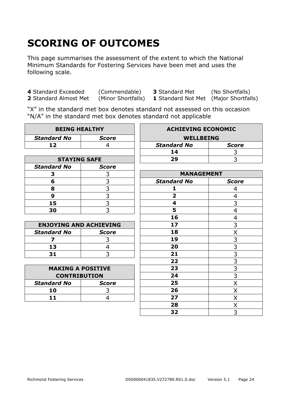# **SCORING OF OUTCOMES**

This page summarises the assessment of the extent to which the National Minimum Standards for Fostering Services have been met and uses the following scale.

**4** Standard Exceeded (Commendable) **3** Standard Met (No Shortfalls)

**1** Standard Not Met (Major Shortfalls)

"X" in the standard met box denotes standard not assessed on this occasion "N/A" in the standard met box denotes standard not applicable

| <b>BEING HEALTHY</b>          |                | <b>ACHIEVING ECONOMIC</b> |                                           |
|-------------------------------|----------------|---------------------------|-------------------------------------------|
| <b>Standard No</b>            | <b>Score</b>   | <b>WELLBEING</b>          |                                           |
| 12                            | 4              | <b>Standard No</b>        | <b>Score</b>                              |
|                               |                | 14                        | 3                                         |
| <b>STAYING SAFE</b>           |                | 29                        | 3                                         |
| <b>Standard No</b>            | <b>Score</b>   |                           |                                           |
| 3                             | 3              | <b>MANAGEMENT</b>         |                                           |
| 6                             | 3              | <b>Standard No</b>        | <b>Score</b>                              |
| 8                             | $\overline{3}$ | 1                         | 4                                         |
| 9                             | $\overline{3}$ | $\overline{\mathbf{2}}$   | 4                                         |
| 15                            | $\frac{1}{3}$  | 4                         | $\overline{3}$                            |
| 30                            | $\overline{3}$ | 5                         | $\overline{4}$                            |
|                               |                | 16                        | 4                                         |
| <b>ENJOYING AND ACHIEVING</b> |                | 17                        | 3                                         |
| <b>Standard No</b>            | <b>Score</b>   | 18                        | X                                         |
| 7                             | 3              | 19                        |                                           |
| 13                            | $\overline{4}$ | 20                        | $\frac{3}{3}$ $\frac{3}{3}$ $\frac{3}{3}$ |
| 31                            | 3              | 21                        |                                           |
|                               |                | 22                        |                                           |
| <b>MAKING A POSITIVE</b>      |                | 23                        |                                           |
| <b>CONTRIBUTION</b>           |                | 24                        | $\overline{3}$                            |
| <b>Standard No</b>            | <b>Score</b>   | 25                        | X                                         |
| 10                            | 3              | 26                        | X                                         |
| 11                            | $\overline{4}$ | 27                        | X                                         |
|                               |                | 28                        | Χ                                         |
|                               |                | 32                        | $\overline{3}$                            |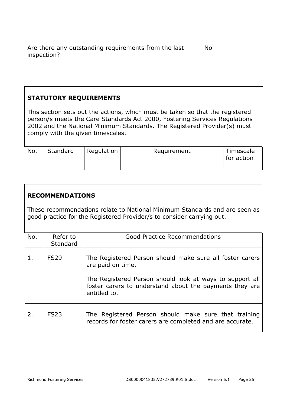#### **STATUTORY REQUIREMENTS**

This section sets out the actions, which must be taken so that the registered person/s meets the Care Standards Act 2000, Fostering Services Regulations 2002 and the National Minimum Standards. The Registered Provider(s) must comply with the given timescales.

| No. | Standard | Regulation | Requirement | Timescale<br>for action |
|-----|----------|------------|-------------|-------------------------|
|     |          |            |             |                         |

#### **RECOMMENDATIONS**

These recommendations relate to National Minimum Standards and are seen as good practice for the Registered Provider/s to consider carrying out.

| No. | Refer to<br>Standard | <b>Good Practice Recommendations</b>                                                                                                                                                                                 |
|-----|----------------------|----------------------------------------------------------------------------------------------------------------------------------------------------------------------------------------------------------------------|
| 1.  | <b>FS29</b>          | The Registered Person should make sure all foster carers<br>are paid on time.<br>The Registered Person should look at ways to support all<br>foster carers to understand about the payments they are<br>entitled to. |
| 2.  | <b>FS23</b>          | The Registered Person should make sure that training<br>records for foster carers are completed and are accurate.                                                                                                    |